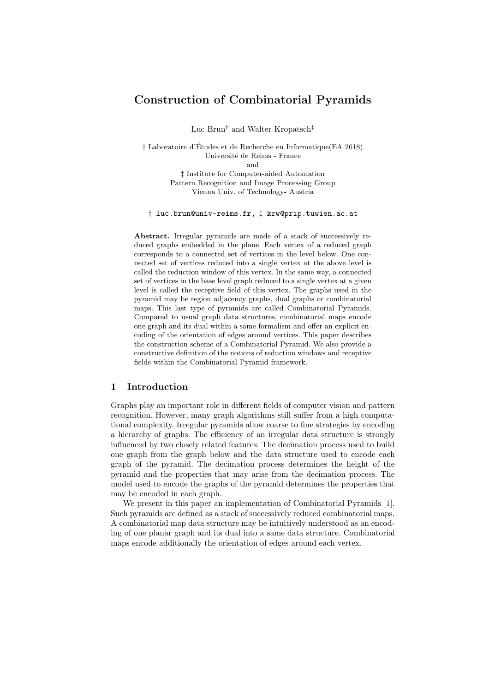# Construction of Combinatorial Pyramids

Luc Brun† and Walter Kropatsch ‡

 $\dagger$  Laboratoire d'Études et de Recherche en Informatique(EA 2618) Université de Reims - France and ‡ Institute for Computer-aided Automation Pattern Recognition and Image Processing Group Vienna Univ. of Technology- Austria

† luc.brun@univ-reims.fr, ‡ krw@prip.tuwien.ac.at

Abstract. Irregular pyramids are made of a stack of successively reduced graphs embedded in the plane. Each vertex of a reduced graph corresponds to a connected set of vertices in the level below. One connected set of vertices reduced into a single vertex at the above level is called the reduction window of this vertex. In the same way, a connected set of vertices in the base level graph reduced to a single vertex at a given level is called the receptive field of this vertex. The graphs used in the pyramid may be region adjacency graphs, dual graphs or combinatorial maps. This last type of pyramids are called Combinatorial Pyramids. Compared to usual graph data structures, combinatorial maps encode one graph and its dual within a same formalism and offer an explicit encoding of the orientation of edges around vertices. This paper describes the construction scheme of a Combinatorial Pyramid. We also provide a constructive definition of the notions of reduction windows and receptive fields within the Combinatorial Pyramid framework.

### 1 Introduction

Graphs play an important role in different fields of computer vision and pattern recognition. However, many graph algorithms still suffer from a high computational complexity. Irregular pyramids allow coarse to fine strategies by encoding a hierarchy of graphs. The efficiency of an irregular data structure is strongly influenced by two closely related features: The decimation process used to build one graph from the graph below and the data structure used to encode each graph of the pyramid. The decimation process determines the height of the pyramid and the properties that may arise from the decimation process. The model used to encode the graphs of the pyramid determines the properties that may be encoded in each graph.

We present in this paper an implementation of Combinatorial Pyramids [1]. Such pyramids are defined as a stack of successively reduced combinatorial maps. A combinatorial map data structure may be intuitively understood as an encoding of one planar graph and its dual into a same data structure. Combinatorial maps encode additionally the orientation of edges around each vertex.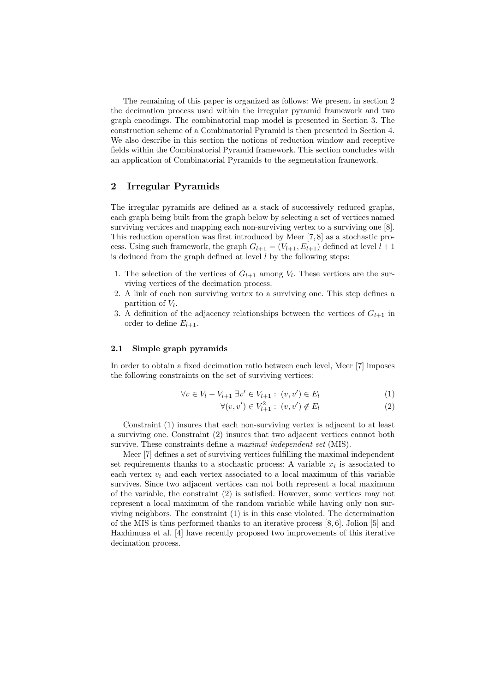The remaining of this paper is organized as follows: We present in section 2 the decimation process used within the irregular pyramid framework and two graph encodings. The combinatorial map model is presented in Section 3. The construction scheme of a Combinatorial Pyramid is then presented in Section 4. We also describe in this section the notions of reduction window and receptive fields within the Combinatorial Pyramid framework. This section concludes with an application of Combinatorial Pyramids to the segmentation framework.

# 2 Irregular Pyramids

The irregular pyramids are defined as a stack of successively reduced graphs, each graph being built from the graph below by selecting a set of vertices named surviving vertices and mapping each non-surviving vertex to a surviving one [8]. This reduction operation was first introduced by Meer [7, 8] as a stochastic process. Using such framework, the graph  $G_{l+1} = (V_{l+1}, E_{l+1})$  defined at level  $l+1$ is deduced from the graph defined at level  $l$  by the following steps:

- 1. The selection of the vertices of  $G_{l+1}$  among  $V_l$ . These vertices are the surviving vertices of the decimation process.
- 2. A link of each non surviving vertex to a surviving one. This step defines a partition of  $V_l$ .
- 3. A definition of the adjacency relationships between the vertices of  $G_{l+1}$  in order to define  $E_{l+1}$ .

#### 2.1 Simple graph pyramids

In order to obtain a fixed decimation ratio between each level, Meer [7] imposes the following constraints on the set of surviving vertices:

$$
\forall v \in V_l - V_{l+1} \; \exists v' \in V_{l+1} : (v, v') \in E_l \tag{1}
$$

$$
\forall (v, v') \in V_{l+1}^2 : (v, v') \notin E_l \tag{2}
$$

Constraint (1) insures that each non-surviving vertex is adjacent to at least a surviving one. Constraint (2) insures that two adjacent vertices cannot both survive. These constraints define a *maximal independent set* (MIS).

Meer [7] defines a set of surviving vertices fulfilling the maximal independent set requirements thanks to a stochastic process: A variable  $x_i$  is associated to each vertex  $v_i$  and each vertex associated to a local maximum of this variable survives. Since two adjacent vertices can not both represent a local maximum of the variable, the constraint (2) is satisfied. However, some vertices may not represent a local maximum of the random variable while having only non surviving neighbors. The constraint (1) is in this case violated. The determination of the MIS is thus performed thanks to an iterative process [8, 6]. Jolion [5] and Haxhimusa et al. [4] have recently proposed two improvements of this iterative decimation process.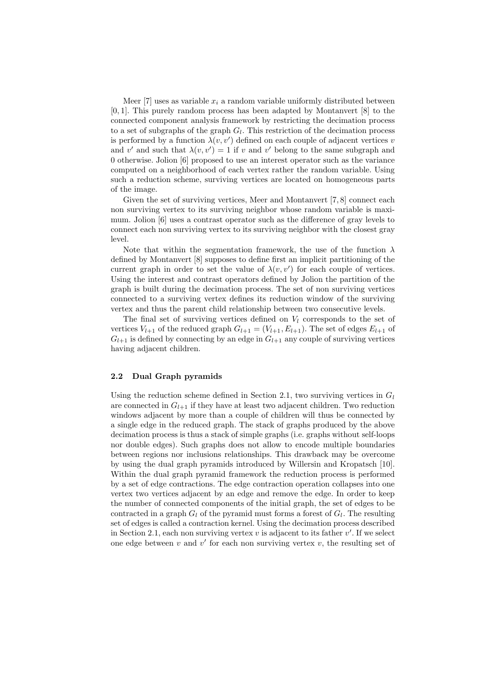Meer [7] uses as variable  $x_i$  a random variable uniformly distributed between [0, 1]. This purely random process has been adapted by Montanvert [8] to the connected component analysis framework by restricting the decimation process to a set of subgraphs of the graph  $G_l$ . This restriction of the decimation process is performed by a function  $\lambda(v, v')$  defined on each couple of adjacent vertices v and v' and such that  $\lambda(v, v') = 1$  if v and v' belong to the same subgraph and 0 otherwise. Jolion [6] proposed to use an interest operator such as the variance computed on a neighborhood of each vertex rather the random variable. Using such a reduction scheme, surviving vertices are located on homogeneous parts of the image.

Given the set of surviving vertices, Meer and Montanvert [7, 8] connect each non surviving vertex to its surviving neighbor whose random variable is maximum. Jolion [6] uses a contrast operator such as the difference of gray levels to connect each non surviving vertex to its surviving neighbor with the closest gray level.

Note that within the segmentation framework, the use of the function  $\lambda$ defined by Montanvert [8] supposes to define first an implicit partitioning of the current graph in order to set the value of  $\lambda(v, v')$  for each couple of vertices. Using the interest and contrast operators defined by Jolion the partition of the graph is built during the decimation process. The set of non surviving vertices connected to a surviving vertex defines its reduction window of the surviving vertex and thus the parent child relationship between two consecutive levels.

The final set of surviving vertices defined on  $V_l$  corresponds to the set of vertices  $V_{l+1}$  of the reduced graph  $G_{l+1} = (V_{l+1}, E_{l+1})$ . The set of edges  $E_{l+1}$  of  $G_{l+1}$  is defined by connecting by an edge in  $G_{l+1}$  any couple of surviving vertices having adjacent children.

#### 2.2 Dual Graph pyramids

Using the reduction scheme defined in Section 2.1, two surviving vertices in  $G_l$ are connected in  $G_{l+1}$  if they have at least two adjacent children. Two reduction windows adjacent by more than a couple of children will thus be connected by a single edge in the reduced graph. The stack of graphs produced by the above decimation process is thus a stack of simple graphs (i.e. graphs without self-loops nor double edges). Such graphs does not allow to encode multiple boundaries between regions nor inclusions relationships. This drawback may be overcome by using the dual graph pyramids introduced by Willersin and Kropatsch [10]. Within the dual graph pyramid framework the reduction process is performed by a set of edge contractions. The edge contraction operation collapses into one vertex two vertices adjacent by an edge and remove the edge. In order to keep the number of connected components of the initial graph, the set of edges to be contracted in a graph  $G_l$  of the pyramid must forms a forest of  $G_l$ . The resulting set of edges is called a contraction kernel. Using the decimation process described in Section 2.1, each non surviving vertex  $v$  is adjacent to its father  $v'$ . If we select one edge between  $v$  and  $v'$  for each non surviving vertex  $v$ , the resulting set of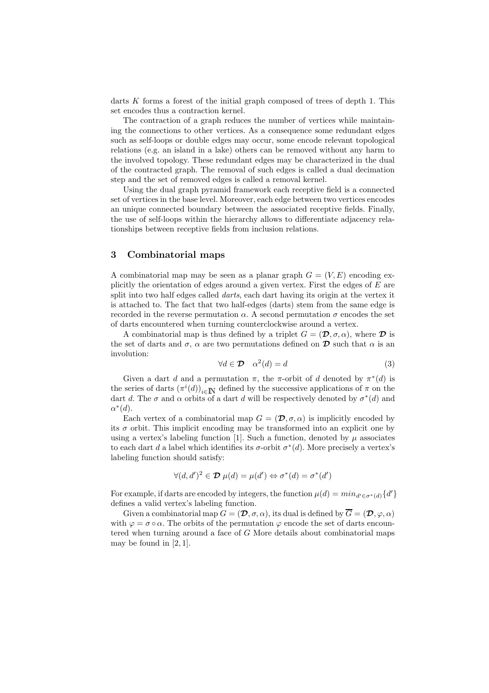darts  $K$  forms a forest of the initial graph composed of trees of depth 1. This set encodes thus a contraction kernel.

The contraction of a graph reduces the number of vertices while maintaining the connections to other vertices. As a consequence some redundant edges such as self-loops or double edges may occur, some encode relevant topological relations (e.g. an island in a lake) others can be removed without any harm to the involved topology. These redundant edges may be characterized in the dual of the contracted graph. The removal of such edges is called a dual decimation step and the set of removed edges is called a removal kernel.

Using the dual graph pyramid framework each receptive field is a connected set of vertices in the base level. Moreover, each edge between two vertices encodes an unique connected boundary between the associated receptive fields. Finally, the use of self-loops within the hierarchy allows to differentiate adjacency relationships between receptive fields from inclusion relations.

# 3 Combinatorial maps

A combinatorial map may be seen as a planar graph  $G = (V, E)$  encoding explicitly the orientation of edges around a given vertex. First the edges of  $E$  are split into two half edges called *darts*, each dart having its origin at the vertex it is attached to. The fact that two half-edges (darts) stem from the same edge is recorded in the reverse permutation  $\alpha$ . A second permutation  $\sigma$  encodes the set of darts encountered when turning counterclockwise around a vertex.

A combinatorial map is thus defined by a triplet  $G = (\mathcal{D}, \sigma, \alpha)$ , where  $\mathcal D$  is the set of darts and  $\sigma$ ,  $\alpha$  are two permutations defined on  $\mathcal{D}$  such that  $\alpha$  is an involution:

$$
\forall d \in \mathcal{D} \quad \alpha^2(d) = d \tag{3}
$$

Given a dart d and a permutation  $\pi$ , the  $\pi$ -orbit of d denoted by  $\pi^*(d)$  is the series of darts  $(\pi^i(d))_{i\in\mathbb{N}}$  defined by the successive applications of  $\pi$  on the dart d. The  $\sigma$  and  $\alpha$  orbits of a dart d will be respectively denoted by  $\sigma^*(d)$  and  $\alpha^*(d)$ .

Each vertex of a combinatorial map  $G = (\mathcal{D}, \sigma, \alpha)$  is implicitly encoded by its  $\sigma$  orbit. This implicit encoding may be transformed into an explicit one by using a vertex's labeling function [1]. Such a function, denoted by  $\mu$  associates to each dart d a label which identifies its  $\sigma$ -orbit  $\sigma^*(d)$ . More precisely a vertex's labeling function should satisfy:

$$
\forall (d, d')^2 \in \mathcal{D} \mu(d) = \mu(d') \Leftrightarrow \sigma^*(d) = \sigma^*(d')
$$

For example, if darts are encoded by integers, the function  $\mu(d) = min_{d' \in \sigma^*(d)} \{d'\}$ defines a valid vertex's labeling function.

Given a combinatorial map  $G = (\mathcal{D}, \sigma, \alpha)$ , its dual is defined by  $\overline{G} = (\mathcal{D}, \varphi, \alpha)$ with  $\varphi = \sigma \circ \alpha$ . The orbits of the permutation  $\varphi$  encode the set of darts encountered when turning around a face of G More details about combinatorial maps may be found in  $[2, 1]$ .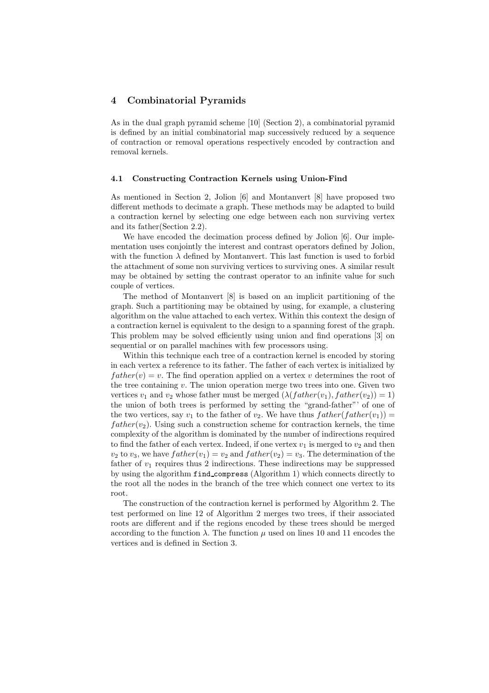# 4 Combinatorial Pyramids

As in the dual graph pyramid scheme [10] (Section 2), a combinatorial pyramid is defined by an initial combinatorial map successively reduced by a sequence of contraction or removal operations respectively encoded by contraction and removal kernels.

#### 4.1 Constructing Contraction Kernels using Union-Find

As mentioned in Section 2, Jolion [6] and Montanvert [8] have proposed two different methods to decimate a graph. These methods may be adapted to build a contraction kernel by selecting one edge between each non surviving vertex and its father(Section 2.2).

We have encoded the decimation process defined by Jolion [6]. Our implementation uses conjointly the interest and contrast operators defined by Jolion, with the function  $\lambda$  defined by Montanvert. This last function is used to forbid the attachment of some non surviving vertices to surviving ones. A similar result may be obtained by setting the contrast operator to an infinite value for such couple of vertices.

The method of Montanvert [8] is based on an implicit partitioning of the graph. Such a partitioning may be obtained by using, for example, a clustering algorithm on the value attached to each vertex. Within this context the design of a contraction kernel is equivalent to the design to a spanning forest of the graph. This problem may be solved efficiently using union and find operations [3] on sequential or on parallel machines with few processors using.

Within this technique each tree of a contraction kernel is encoded by storing in each vertex a reference to its father. The father of each vertex is initialized by  $father(v) = v$ . The find operation applied on a vertex v determines the root of the tree containing v. The union operation merge two trees into one. Given two vertices  $v_1$  and  $v_2$  whose father must be merged  $(\lambda(father(v_1), father(v_2)) = 1)$ the union of both trees is performed by setting the "grand-father"' of one of the two vertices, say  $v_1$  to the father of  $v_2$ . We have thus  $father(father(v_1)) =$  $father(v_2)$ . Using such a construction scheme for contraction kernels, the time complexity of the algorithm is dominated by the number of indirections required to find the father of each vertex. Indeed, if one vertex  $v_1$  is merged to  $v_2$  and then  $v_2$  to  $v_3$ , we have  $father(v_1) = v_2$  and  $father(v_2) = v_3$ . The determination of the father of  $v_1$  requires thus 2 indirections. These indirections may be suppressed by using the algorithm find compress (Algorithm 1) which connects directly to the root all the nodes in the branch of the tree which connect one vertex to its root.

The construction of the contraction kernel is performed by Algorithm 2. The test performed on line 12 of Algorithm 2 merges two trees, if their associated roots are different and if the regions encoded by these trees should be merged according to the function  $\lambda$ . The function  $\mu$  used on lines 10 and 11 encodes the vertices and is defined in Section 3.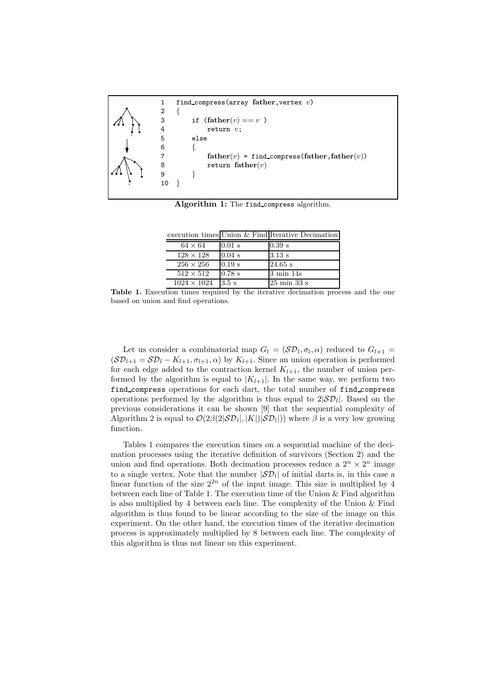

Algorithm 1: The find compress algorithm.

|                    |          | execution times Union & Find Iterative Decimation |
|--------------------|----------|---------------------------------------------------|
| $64 \times 64$     | $0.01$ s | $0.39$ s                                          |
| $128 \times 128$   | $0.04$ s | $3.13$ s                                          |
| $256 \times 256$   | $0.19$ s | $24.65$ s                                         |
| $512 \times 512$   | $0.78$ s | $3 \text{ min } 14$ s                             |
| $1024 \times 1024$ | 3.5s     | $25 \text{ min } 33 \text{ s}$                    |

Table 1. Execution times required by the iterative decimation process and the one based on union and find operations.

Let us consider a combinatorial map  $G_l = (\mathcal{SD}_l, \sigma_l, \alpha)$  reduced to  $G_{l+1} =$  $(\mathcal{SD}_{l+1} = \mathcal{SD}_l - K_{l+1}, \sigma_{l+1}, \alpha)$  by  $K_{l+1}$ . Since an union operation is performed for each edge added to the contraction kernel  $K_{l+1}$ , the number of union performed by the algorithm is equal to  $|K_{l+1}|$ . In the same way, we perform two find compress operations for each dart, the total number of find compress operations performed by the algorithm is thus equal to  $2|\mathcal{SD}_l|$ . Based on the previous considerations it can be shown [9] that the sequential complexity of Algorithm 2 is equal to  $\mathcal{O}(2\beta(2|\mathcal{SD}_l|, |K|)|\mathcal{SD}_l|)$  where  $\beta$  is a very low growing function.

Tables 1 compares the execution times on a sequential machine of the decimation processes using the iterative definition of survivors (Section 2) and the union and find operations. Both decimation processes reduce a  $2^n \times 2^n$  image to a single vertex. Note that the number  $|\mathcal{SD}_l|$  of initial darts is, in this case a linear function of the size  $2^{2n}$  of the input image. This size is multiplied by 4 between each line of Table 1. The execution time of the Union & Find algorithm is also multiplied by 4 between each line. The complexity of the Union & Find algorithm is thus found to be linear according to the size of the image on this experiment. On the other hand, the execution times of the iterative decimation process is approximately multiplied by 8 between each line. The complexity of this algorithm is thus not linear on this experiment.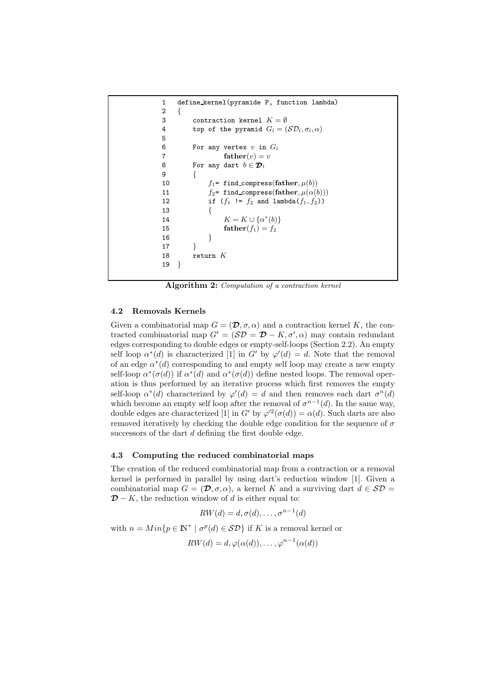```
1 define kernel(pyramide P, function lambda)
2 {
3 contraction kernel K = \emptyset4 top of the pyramid G_l = (\mathcal{SD}_l, \sigma_l, \alpha)5
6 For any vertex v in G_l7 father(v) = v8 For any dart b \in \mathcal{D}_l9 {
10 f_1= find_compress(father, \mu(b))
11 f_2= find_compress(father, \mu(\alpha(b)))
12 if (f_1 := f_2 \text{ and } \text{lambda}(f_1, f_2))13 {
14 K = K \cup \{\alpha^*(b)\}15 father(f_1) = f_216 }
17 }
18 return K19 }
```
Algorithm 2: Computation of a contraction kernel

# 4.2 Removals Kernels

Given a combinatorial map  $G = (\mathcal{D}, \sigma, \alpha)$  and a contraction kernel K, the contracted combinatorial map  $G' = (\mathcal{SD} = \mathcal{D} - K, \sigma', \alpha)$  may contain redundant edges corresponding to double edges or empty-self-loops (Section 2.2). An empty self loop  $\alpha^*(d)$  is characterized [1] in G' by  $\varphi'(d) = d$ . Note that the removal of an edge  $\alpha^*(d)$  corresponding to and empty self loop may create a new empty self-loop  $\alpha^*(\sigma(d))$  if  $\alpha^*(d)$  and  $\alpha^*(\sigma(d))$  define nested loops. The removal operation is thus performed by an iterative process which first removes the empty self-loop  $\alpha^*(d)$  characterized by  $\varphi'(d) = d$  and then removes each dart  $\sigma^n(d)$ which become an empty self loop after the removal of  $\sigma^{n-1}(d)$ . In the same way, double edges are characterized [1] in G' by  $\varphi^2(\sigma(d)) = \alpha(d)$ . Such darts are also removed iteratively by checking the double edge condition for the sequence of  $\sigma$ successors of the dart d defining the first double edge.

#### 4.3 Computing the reduced combinatorial maps

The creation of the reduced combinatorial map from a contraction or a removal kernel is performed in parallel by using dart's reduction window [1]. Given a combinatorial map  $G = (\mathcal{D}, \sigma, \alpha)$ , a kernel K and a surviving dart  $d \in \mathcal{SD}$  $\mathcal{D} - K$ , the reduction window of d is either equal to:

$$
RW(d) = d, \sigma(d), \ldots, \sigma^{n-1}(d)
$$

with  $n = Min\{p \in \mathbb{N}^* \mid \sigma^p(d) \in \mathcal{SD}\}\$ if K is a removal kernel or

$$
RW(d) = d, \varphi(\alpha(d)), \dots, \varphi^{n-1}(\alpha(d))
$$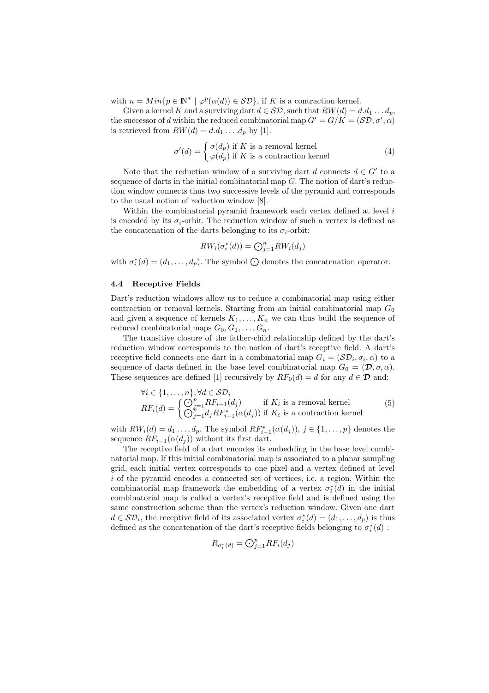with  $n = Min\{p \in \mathbb{N}^* \mid \varphi^p(\alpha(d)) \in \mathcal{SD}\}\,$ , if K is a contraction kernel.

Given a kernel K and a surviving dart  $d \in \mathcal{SD}$ , such that  $RW(d) = d.d_1 \dots d_p$ , the successor of d within the reduced combinatorial map  $G' = G/K = (\mathcal{SD}, \sigma', \alpha)$ is retrieved from  $RW(d) = d.d_1 \ldots d_p$  by [1]:

$$
\sigma'(d) = \begin{cases} \sigma(d_p) \text{ if } K \text{ is a removal kernel} \\ \varphi(d_p) \text{ if } K \text{ is a contraction kernel} \end{cases}
$$
(4)

Note that the reduction window of a surviving dart d connects  $d \in G'$  to a sequence of darts in the initial combinatorial map  $G$ . The notion of dart's reduction window connects thus two successive levels of the pyramid and corresponds to the usual notion of reduction window [8].

Within the combinatorial pyramid framework each vertex defined at level  $i$ is encoded by its  $\sigma_i$ -orbit. The reduction window of such a vertex is defined as the concatenation of the darts belonging to its  $\sigma_i$ -orbit:

$$
RW_i(\sigma_i^*(d)) = \bigodot_{j=1}^n RW_i(d_j)
$$

with  $\sigma_i^*(d) = (d_1, \ldots, d_p)$ . The symbol  $\bigodot$  denotes the concatenation operator.

# 4.4 Receptive Fields

Dart's reduction windows allow us to reduce a combinatorial map using either contraction or removal kernels. Starting from an initial combinatorial map  $G_0$ and given a sequence of kernels  $K_1, \ldots, K_n$  we can thus build the sequence of reduced combinatorial maps  $G_0, G_1, \ldots, G_n$ .

The transitive closure of the father-child relationship defined by the dart's reduction window corresponds to the notion of dart's receptive field. A dart's receptive field connects one dart in a combinatorial map  $G_i = (\mathcal{SD}_i, \sigma_i, \alpha)$  to a sequence of darts defined in the base level combinatorial map  $G_0 = (\mathcal{D}, \sigma, \alpha)$ . These sequences are defined [1] recursively by  $RF_0(d) = d$  for any  $d \in \mathcal{D}$  and:

$$
\forall i \in \{1, ..., n\}, \forall d \in \mathcal{SD}_i
$$
  
\n
$$
RF_i(d) = \begin{cases} \bigodot_{j=1}^p RF_{i-1}(d_j) & \text{if } K_i \text{ is a removal kernel} \\ \bigodot_{j=1}^p d_j RF_{i-1}^*(\alpha(d_j)) & \text{if } K_i \text{ is a contraction kernel} \end{cases}
$$
\n(5)

with  $RW_i(d) = d_1 \ldots, d_p$ . The symbol  $RF_{i-1}^*(\alpha(d_j)), j \in \{1, \ldots, p\}$  denotes the sequence  $RF_{i-1}(\alpha(d_i))$  without its first dart.

The receptive field of a dart encodes its embedding in the base level combinatorial map. If this initial combinatorial map is associated to a planar sampling grid, each initial vertex corresponds to one pixel and a vertex defined at level i of the pyramid encodes a connected set of vertices, i.e. a region. Within the combinatorial map framework the embedding of a vertex  $\sigma_i^*(d)$  in the initial combinatorial map is called a vertex's receptive field and is defined using the same construction scheme than the vertex's reduction window. Given one dart  $d \in \mathcal{SD}_i$ , the receptive field of its associated vertex  $\sigma_i^*(d) = (d_1, \ldots, d_p)$  is thus defined as the concatenation of the dart's receptive fields belonging to  $\sigma_i^*(d)$  :

$$
R_{\sigma_i^*(d)} = \bigodot_{j=1}^p RF_i(d_j)
$$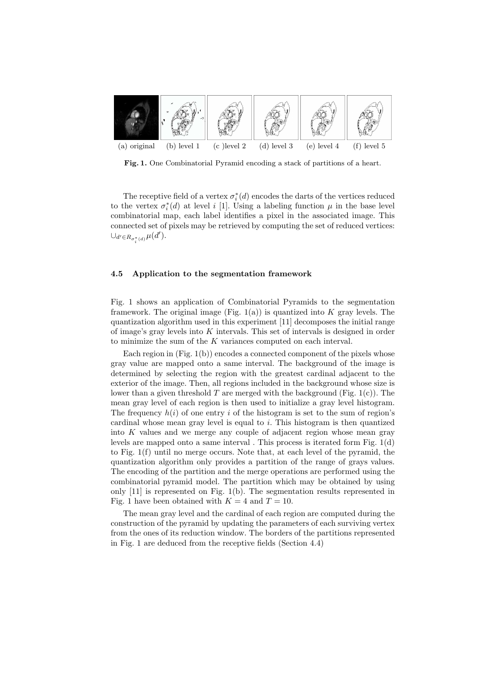

Fig. 1. One Combinatorial Pyramid encoding a stack of partitions of a heart.

The receptive field of a vertex  $\sigma_i^*(d)$  encodes the darts of the vertices reduced to the vertex  $\sigma_i^*(d)$  at level i [1]. Using a labeling function  $\mu$  in the base level combinatorial map, each label identifies a pixel in the associated image. This connected set of pixels may be retrieved by computing the set of reduced vertices:  $\cup_{d' \in R_{\sigma_i^*(d)}} \mu(d').$ 

#### 4.5 Application to the segmentation framework

Fig. 1 shows an application of Combinatorial Pyramids to the segmentation framework. The original image (Fig.  $1(a)$ ) is quantized into K gray levels. The quantization algorithm used in this experiment [11] decomposes the initial range of image's gray levels into  $K$  intervals. This set of intervals is designed in order to minimize the sum of the K variances computed on each interval.

Each region in  $(Fig. 1(b))$  encodes a connected component of the pixels whose gray value are mapped onto a same interval. The background of the image is determined by selecting the region with the greatest cardinal adjacent to the exterior of the image. Then, all regions included in the background whose size is lower than a given threshold T are merged with the background (Fig.  $1(c)$ ). The mean gray level of each region is then used to initialize a gray level histogram. The frequency  $h(i)$  of one entry i of the histogram is set to the sum of region's cardinal whose mean gray level is equal to i. This histogram is then quantized into  $K$  values and we merge any couple of adjacent region whose mean gray levels are mapped onto a same interval . This process is iterated form Fig. 1(d) to Fig. 1(f) until no merge occurs. Note that, at each level of the pyramid, the quantization algorithm only provides a partition of the range of grays values. The encoding of the partition and the merge operations are performed using the combinatorial pyramid model. The partition which may be obtained by using only [11] is represented on Fig. 1(b). The segmentation results represented in Fig. 1 have been obtained with  $K = 4$  and  $T = 10$ .

The mean gray level and the cardinal of each region are computed during the construction of the pyramid by updating the parameters of each surviving vertex from the ones of its reduction window. The borders of the partitions represented in Fig. 1 are deduced from the receptive fields (Section 4.4)